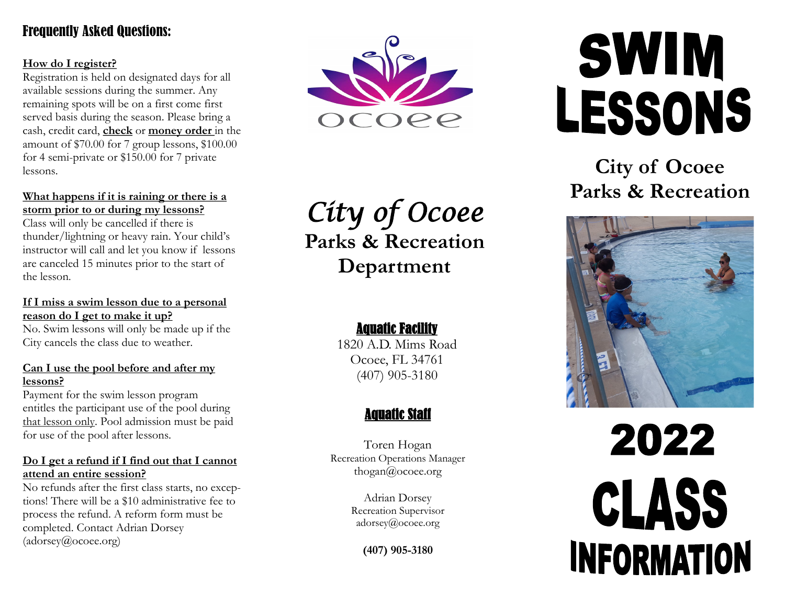## Frequently Asked Questions:

#### **How do I register?**

Registration is held on designated days for all available sessions during the summer. Any remaining spots will be on a first come first served basis during the season. Please bring a cash, credit card, **check** or **money order** in the amount of \$70.00 for 7 group lessons, \$100.00 for 4 semi -private or \$150.00 for 7 private lessons.

#### **What happens if it is raining or there is a storm prior to or during my lessons?**

Class will only be cancelled if there is thunder/lightning or heavy rain. Your child's instructor will call and let you know if lessons are canceled 15 minutes prior to the start of the lesson .

#### **If I miss a swim lesson due to a personal reason do I get to make it up?**

No. Swim lessons will only be made up if the City cancels the class due to weather.

#### **Can I use the pool before and after my lessons?**

Payment for the swim lesson program entitles the participant use of the pool during that lesson only. Pool admission must be paid for use of the pool after lessons.

#### **Do I get a refund if I find out that I cannot attend an entire session?**

No refunds after the first class starts, no exceptions! There will be a \$10 administrative fee to process the refund. A reform form must be completed. Contact Adrian Dorsey (adorsey@ocoee.org)



*City of Ocoee*  **Parks & Recreation Department**

## Aquatic Facility

1820 A.D. Mims Road Ocoee, FL 34761 (407) 905 -3180

## Aquatic Staff

Toren Hogan Recreation Operations Manager thogan@ocoee.org

> Adrian Dorsey Recreation Supervisor adorsey@ocoee.org

> > **(407) 905 -3180**

# **SWIM** LESSONS

## **City of Ocoee Parks & Recreation**



# 2022 CLASS **INFORMATION**